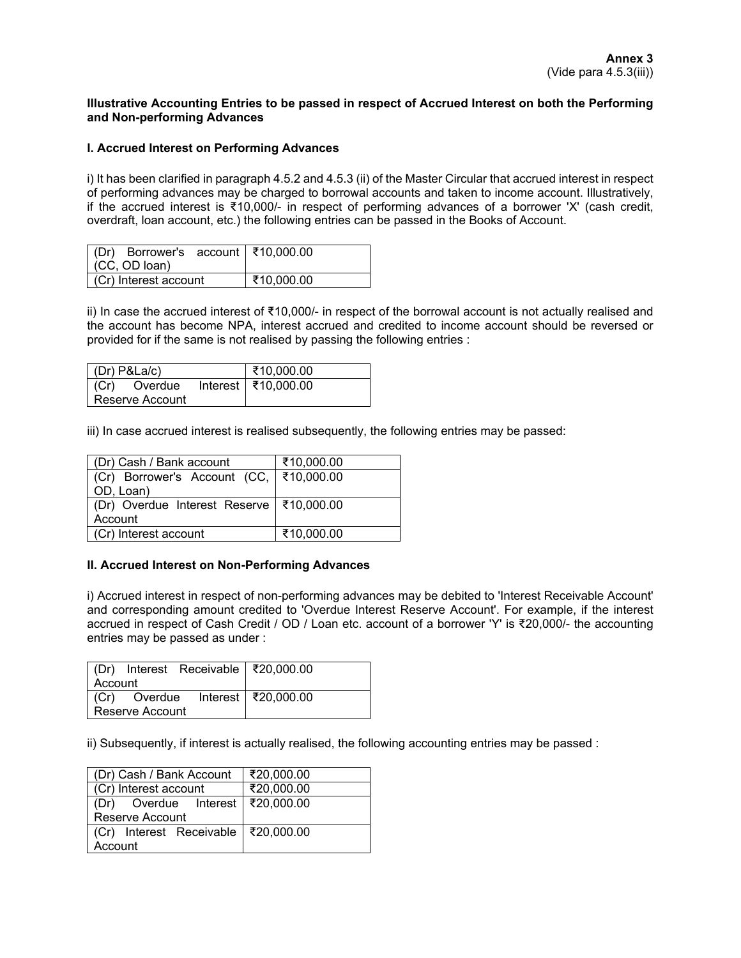## **Illustrative Accounting Entries to be passed in respect of Accrued Interest on both the Performing and Non-performing Advances**

## **I. Accrued Interest on Performing Advances**

i) It has been clarified in paragraph 4.5.2 and 4.5.3 (ii) of the Master Circular that accrued interest in respect of performing advances may be charged to borrowal accounts and taken to income account. Illustratively, if the accrued interest is ₹10,000/- in respect of performing advances of a borrower 'X' (cash credit, overdraft, loan account, etc.) the following entries can be passed in the Books of Account.

| (Dr) Borrower's account   ₹10,000.00<br>$(CC, OD$ loan) |            |
|---------------------------------------------------------|------------|
| Cr) Interest account                                    | ₹10,000.00 |

ii) In case the accrued interest of ₹10,000/- in respect of the borrowal account is not actually realised and the account has become NPA, interest accrued and credited to income account should be reversed or provided for if the same is not realised by passing the following entries :

|                   | $ $ (Dr) P&La/c) |  | ₹10,000.00            |
|-------------------|------------------|--|-----------------------|
| l (Cr)            | Overdue          |  | Interest   ₹10,000.00 |
| l Reserve Account |                  |  |                       |

iii) In case accrued interest is realised subsequently, the following entries may be passed:

| (Dr) Cash / Bank account                   | ₹10,000.00 |
|--------------------------------------------|------------|
| (Cr) Borrower's Account (CC,   ₹10,000.00  |            |
| OD, Loan)                                  |            |
| (Dr) Overdue Interest Reserve   ₹10,000.00 |            |
| Account                                    |            |
| (Cr) Interest account                      | ₹10,000.00 |

## **II. Accrued Interest on Non-Performing Advances**

i) Accrued interest in respect of non-performing advances may be debited to 'Interest Receivable Account' and corresponding amount credited to 'Overdue Interest Reserve Account'. For example, if the interest accrued in respect of Cash Credit / OD / Loan etc. account of a borrower 'Y' is ₹20,000/- the accounting entries may be passed as under :

|                 |  | (Dr) Interest Receivable ₹20,000.00              |  |
|-----------------|--|--------------------------------------------------|--|
| Account         |  |                                                  |  |
|                 |  | $\vert$ (Cr) Overdue Interest $\vert$ ₹20,000.00 |  |
| Reserve Account |  |                                                  |  |

ii) Subsequently, if interest is actually realised, the following accounting entries may be passed :

| (Dr) Cash / Bank Account              | ₹20,000.00 |
|---------------------------------------|------------|
| (Cr) Interest account                 | ₹20,000.00 |
| (Dr) Overdue Interest   ₹20,000.00    |            |
| <b>Reserve Account</b>                |            |
| (Cr) Interest Receivable   ₹20,000.00 |            |
| Account                               |            |